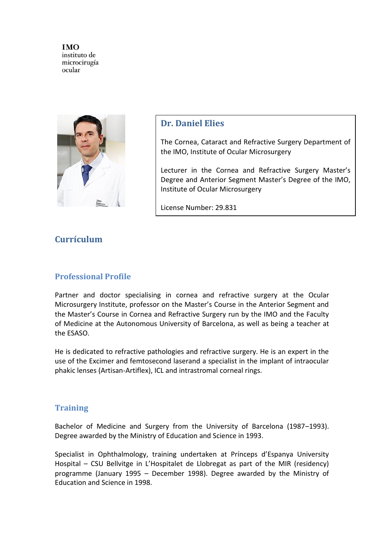

### **Dr. Daniel Elies**

The Cornea, Cataract and Refractive Surgery Department of the IMO, Institute of Ocular Microsurgery

Lecturer in the Cornea and Refractive Surgery Master's Degree and Anterior Segment Master's Degree of the IMO, Institute of Ocular Microsurgery

License Number: 29.831

# **Currículum**

### **Professional Profile**

Partner and doctor specialising in cornea and refractive surgery at the Ocular Microsurgery Institute, professor on the Master's Course in the Anterior Segment and the Master's Course in Cornea and Refractive Surgery run by the IMO and the Faculty of Medicine at the Autonomous University of Barcelona, as well as being a teacher at the ESASO.

He is dedicated to refractive pathologies and refractive surgery. He is an expert in the use of the Excimer and femtosecond laserand a specialist in the implant of intraocular phakic lenses (Artisan-Artiflex), ICL and intrastromal corneal rings.

### **Training**

Bachelor of Medicine and Surgery from the University of Barcelona (1987–1993). Degree awarded by the Ministry of Education and Science in 1993.

Specialist in Ophthalmology, training undertaken at Prínceps d'Espanya University Hospital – CSU Bellvitge in L'Hospitalet de Llobregat as part of the MIR (residency) programme (January 1995 – December 1998). Degree awarded by the Ministry of Education and Science in 1998.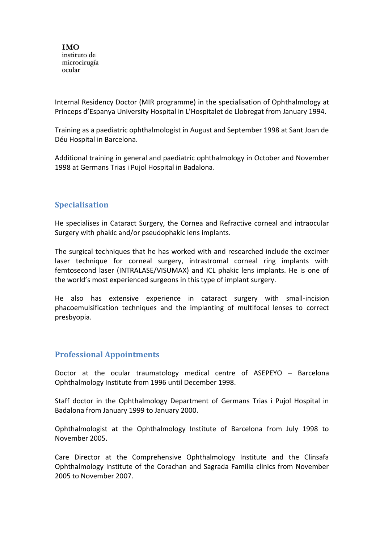Internal Residency Doctor (MIR programme) in the specialisation of Ophthalmology at Prínceps d'Espanya University Hospital in L'Hospitalet de Llobregat from January 1994.

Training as a paediatric ophthalmologist in August and September 1998 at Sant Joan de Déu Hospital in Barcelona.

Additional training in general and paediatric ophthalmology in October and November 1998 at Germans Trias i Pujol Hospital in Badalona.

# **Specialisation**

He specialises in Cataract Surgery, the Cornea and Refractive corneal and intraocular Surgery with phakic and/or pseudophakic lens implants.

The surgical techniques that he has worked with and researched include the excimer laser technique for corneal surgery, intrastromal corneal ring implants with femtosecond laser (INTRALASE/VISUMAX) and ICL phakic lens implants. He is one of the world's most experienced surgeons in this type of implant surgery.

He also has extensive experience in cataract surgery with small-incision phacoemulsification techniques and the implanting of multifocal lenses to correct presbyopia.

### **Professional Appointments**

Doctor at the ocular traumatology medical centre of ASEPEYO – Barcelona Ophthalmology Institute from 1996 until December 1998.

Staff doctor in the Ophthalmology Department of Germans Trias i Pujol Hospital in Badalona from January 1999 to January 2000.

Ophthalmologist at the Ophthalmology Institute of Barcelona from July 1998 to November 2005.

Care Director at the Comprehensive Ophthalmology Institute and the Clinsafa Ophthalmology Institute of the Corachan and Sagrada Familia clinics from November 2005 to November 2007.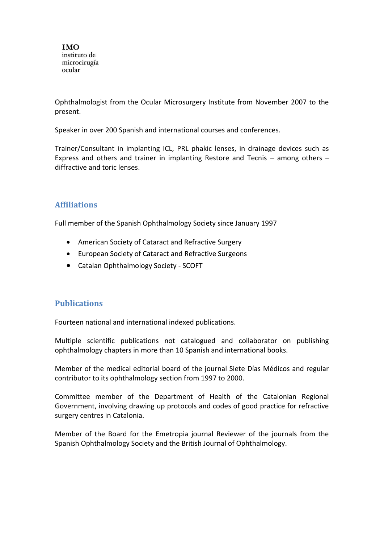Ophthalmologist from the Ocular Microsurgery Institute from November 2007 to the present.

Speaker in over 200 Spanish and international courses and conferences.

Trainer/Consultant in implanting ICL, PRL phakic lenses, in drainage devices such as Express and others and trainer in implanting Restore and Tecnis – among others – diffractive and toric lenses.

# **Affiliations**

Full member of the Spanish Ophthalmology Society since January 1997

- American Society of Cataract and Refractive Surgery
- European Society of Cataract and Refractive Surgeons
- Catalan Ophthalmology Society SCOFT

### **Publications**

Fourteen national and international indexed publications.

Multiple scientific publications not catalogued and collaborator on publishing ophthalmology chapters in more than 10 Spanish and international books.

Member of the medical editorial board of the journal Siete Días Médicos and regular contributor to its ophthalmology section from 1997 to 2000.

Committee member of the Department of Health of the Catalonian Regional Government, involving drawing up protocols and codes of good practice for refractive surgery centres in Catalonia.

Member of the Board for the Emetropia journal Reviewer of the journals from the Spanish Ophthalmology Society and the British Journal of Ophthalmology.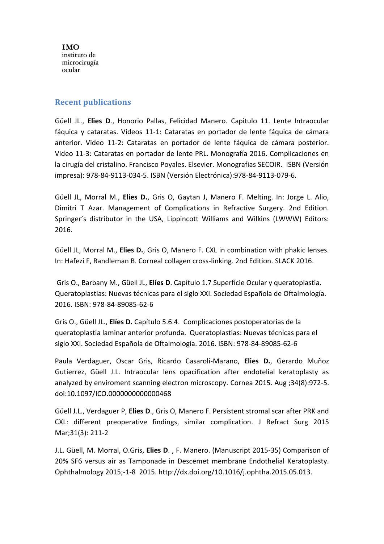#### **Recent publications**

Güell JL., **Elies D**., Honorio Pallas, Felicidad Manero. Capitulo 11. Lente Intraocular fáquica y cataratas. Videos 11-1: Cataratas en portador de lente fáquica de cámara anterior. Video 11-2: Cataratas en portador de lente fáquica de cámara posterior. Video 11-3: Cataratas en portador de lente PRL. Monografía 2016. Complicaciones en la cirugía del cristalino. Francisco Poyales. Elsevier. Monografias SECOIR. ISBN (Versión impresa): 978-84-9113-034-5. ISBN (Versión Electrónica):978-84-9113-079-6.

Güell JL, Morral M., **Elies D.**, Gris O, Gaytan J, Manero F. Melting. In: Jorge L. Alio, Dimitri T Azar. Management of Complications in Refractive Surgery. 2nd Edition. Springer's distributor in the USA, Lippincott Williams and Wilkins (LWWW) Editors: 2016.

Güell JL, Morral M., **Elies D.**, Gris O, Manero F. CXL in combination with phakic lenses. In: Hafezi F, Randleman B. Corneal collagen cross-linking. 2nd Edition. SLACK 2016.

Gris O., Barbany M., Güell JL, **Elíes D**. Capítulo 1.7 Superfície Ocular y queratoplastia. Queratoplastias: Nuevas técnicas para el siglo XXI. Sociedad Española de Oftalmología. 2016. ISBN: 978-84-89085-62-6

Gris O., Güell JL., **Elíes D.** Capítulo 5.6.4. Complicaciones postoperatorias de la queratoplastia laminar anterior profunda. Queratoplastias: Nuevas técnicas para el siglo XXI. Sociedad Española de Oftalmología. 2016. ISBN: 978-84-89085-62-6

Paula Verdaguer, Oscar Gris, Ricardo Casaroli-Marano, **Elies D.**, Gerardo Muñoz Gutierrez, Güell J.L. Intraocular lens opacification after endotelial keratoplasty as analyzed by enviroment scanning electron microscopy. Cornea 2015. Aug ;34(8):972-5. doi:10.1097/ICO.0000000000000468

Güell J.L., Verdaguer P, **Elies D**., Gris O, Manero F. Persistent stromal scar after PRK and CXL: different preoperative findings, similar complication. J Refract Surg 2015 Mar;31(3): 211-2

J.L. Güell, M. Morral, O.Gris, **Elies D**. , F. Manero. (Manuscript 2015-35) Comparison of 20% SF6 versus air as Tamponade in Descemet membrane Endothelial Keratoplasty. Ophthalmology 2015;-1-8 2015. http://dx.doi.org/10.1016/j.ophtha.2015.05.013.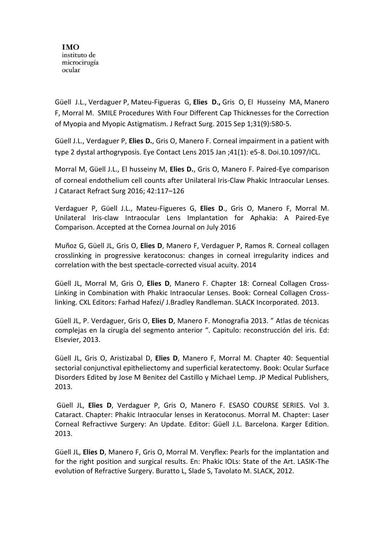Güell J.L., Verdaguer P, Mateu-Figueras G, **Elies D.,** Gris O, El Husseiny MA, Manero F, Morral M. SMILE Procedures With Four Different Cap Thicknesses for the Correction of Myopia and Myopic Astigmatism. J Refract Surg. 2015 Sep 1;31(9):580-5.

Güell J.L., Verdaguer P, **Elies D.**, Gris O, Manero F. Corneal impairment in a patient with type 2 dystal arthogryposis. Eye Contact Lens 2015 Jan ;41(1): e5-8. Doi.10.1097/ICL.

Morral M, Güell J.L., El husseiny M, **Elies D.**, Gris O, Manero F. Paired-Eye comparison of corneal endothelium cell counts after Unilateral Iris-Claw Phakic Intraocular Lenses. J Cataract Refract Surg 2016; 42:117–126

Verdaguer P, Güell J.L., Mateu-Figueres G, **Elies D**., Gris O, Manero F, Morral M. Unilateral Iris-claw Intraocular Lens Implantation for Aphakia: A Paired-Eye Comparison. Accepted at the Cornea Journal on July 2016

Muñoz G, Güell JL, Gris O, **Elies D**, Manero F, Verdaguer P, Ramos R. Corneal collagen crosslinking in progressive keratoconus: changes in corneal irregularity indices and correlation with the best spectacle-corrected visual acuity. 2014

Güell JL, Morral M, Gris O, **Elies D**, Manero F. Chapter 18: Corneal Collagen Cross-Linking in Combination with Phakic Intraocular Lenses. Book: Corneal Collagen Crosslinking. CXL Editors: Farhad Hafezi/ J.Bradley Randleman. SLACK Incorporated. 2013.

Güell JL, P. Verdaguer, Gris O, **Elies D**, Manero F. Monografia 2013. " Atlas de técnicas complejas en la cirugía del segmento anterior ". Capitulo: reconstrucción del iris. Ed: Elsevier, 2013.

Güell JL, Gris O, Aristizabal D, **Elies D**, Manero F, Morral M. Chapter 40: Sequential sectorial conjunctival epitheliectomy and superficial keratectomy. Book: Ocular Surface Disorders Edited by Jose M Benitez del Castillo y Michael Lemp. JP Medical Publishers, 2013.

Güell JL, **Elies D**, Verdaguer P, Gris O, Manero F. ESASO COURSE SERIES. Vol 3. Cataract. Chapter: Phakic Intraocular lenses in Keratoconus. Morral M. Chapter: Laser Corneal Refractivve Surgery: An Update. Editor: Güell J.L. Barcelona. Karger Edition. 2013.

Güell JL, **Elies D**, Manero F, Gris O, Morral M. Veryflex: Pearls for the implantation and for the right position and surgical results. En: Phakic IOLs: State of the Art. LASIK-The evolution of Refractive Surgery. Buratto L, Slade S, Tavolato M. SLACK, 2012.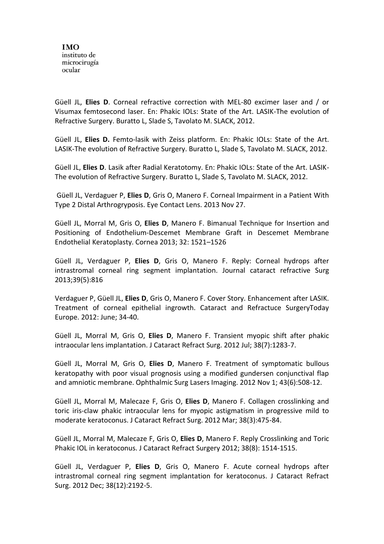Güell JL, **Elies D**. Corneal refractive correction with MEL-80 excimer laser and / or Visumax femtosecond laser. En: Phakic IOLs: State of the Art. LASIK-The evolution of Refractive Surgery. Buratto L, Slade S, Tavolato M. SLACK, 2012.

Güell JL, **Elies D.** Femto-lasik with Zeiss platform. En: Phakic IOLs: State of the Art. LASIK-The evolution of Refractive Surgery. Buratto L, Slade S, Tavolato M. SLACK, 2012.

Güell JL, **Elies D**. Lasik after Radial Keratotomy. En: Phakic IOLs: State of the Art. LASIK-The evolution of Refractive Surgery. Buratto L, Slade S, Tavolato M. SLACK, 2012.

Güell JL, Verdaguer P, **Elies D**, Gris O, Manero F. Corneal Impairment in a Patient With Type 2 Distal Arthrogryposis. Eye Contact Lens. 2013 Nov 27.

Güell JL, Morral M, Gris O, **Elies D**, Manero F. Bimanual Technique for Insertion and Positioning of Endothelium-Descemet Membrane Graft in Descemet Membrane Endothelial Keratoplasty. Cornea 2013; 32: 1521–1526

Güell JL, Verdaguer P, **Elies D**, Gris O, Manero F. Reply: Corneal hydrops after intrastromal corneal ring segment implantation. Journal cataract refractive Surg 2013;39(5):816

Verdaguer P, Güell JL, **Elies D**, Gris O, Manero F. Cover Story. Enhancement after LASIK. Treatment of corneal epithelial ingrowth. Cataract and Refractuce SurgeryToday Europe. 2012: June; 34-40.

Güell JL, Morral M, Gris O, **Elies D**, Manero F. Transient myopic shift after phakic intraocular lens implantation. J Cataract Refract Surg. 2012 Jul; 38(7):1283-7.

Güell JL, Morral M, Gris O, **Elies D**, Manero F. Treatment of symptomatic bullous keratopathy with poor visual prognosis using a modified gundersen conjunctival flap and amniotic membrane. Ophthalmic Surg Lasers Imaging. 2012 Nov 1; 43(6):508-12.

Güell JL, Morral M, Malecaze F, Gris O, **Elies D**, Manero F. Collagen crosslinking and toric iris-claw phakic intraocular lens for myopic astigmatism in progressive mild to moderate keratoconus. J Cataract Refract Surg. 2012 Mar; 38(3):475-84.

Güell JL, Morral M, Malecaze F, Gris O, **Elies D**, Manero F. Reply Crosslinking and Toric Phakic IOL in keratoconus. J Cataract Refract Surgery 2012; 38(8): 1514-1515.

Güell JL, Verdaguer P, **Elies D**, Gris O, Manero F. Acute corneal hydrops after intrastromal corneal ring segment implantation for keratoconus. J Cataract Refract Surg. 2012 Dec; 38(12):2192-5.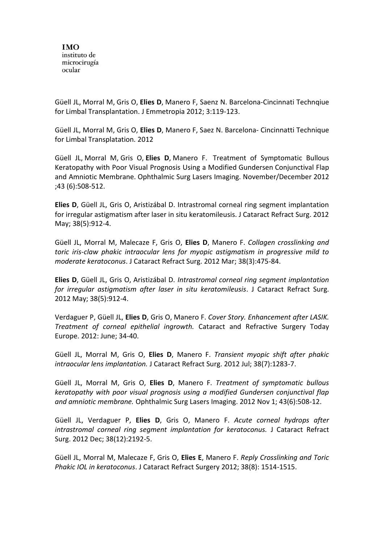Güell JL, Morral M, Gris O, **Elies D**, Manero F, Saenz N. Barcelona-Cincinnati Technqiue for Limbal Transplantation. J Emmetropia 2012; 3:119-123.

Güell JL, Morral M, Gris O, **Elies D**, Manero F, Saez N. Barcelona- Cincinnatti Technique for Limbal Transplatation. 2012

Güell JL, Morral M, Gris O, **Elies D**, Manero F. Treatment of Symptomatic Bullous Keratopathy with Poor Visual Prognosis Using a Modified Gundersen Conjunctival Flap and Amniotic Membrane. Ophthalmic Surg Lasers Imaging. November/December 2012 ;43 (6):508-512.

**Elies D**, Güell JL, Gris O, Aristizábal D. Intrastromal corneal ring segment implantation for irregular astigmatism after laser in situ keratomileusis. J Cataract Refract Surg. 2012 May; 38(5):912-4.

Güell JL, Morral M, Malecaze F, Gris O, **Elies D**, Manero F. *Collagen crosslinking and toric iris-claw phakic intraocular lens for myopic astigmatism in progressive mild to moderate keratoconus*. J Cataract Refract Surg. 2012 Mar; 38(3):475-84.

**Elies D**, Güell JL, Gris O, Aristizábal D. *Intrastromal corneal ring segment implantation for irregular astigmatism after laser in situ keratomileusis*. J Cataract Refract Surg. 2012 May; 38(5):912-4.

Verdaguer P, Güell JL, **Elies D**, Gris O, Manero F. *Cover Story. Enhancement after LASIK. Treatment of corneal epithelial ingrowth.* Cataract and Refractive Surgery Today Europe. 2012: June; 34-40.

Güell JL, Morral M, Gris O, **Elies D**, Manero F. *Transient myopic shift after phakic intraocular lens implantation.* J Cataract Refract Surg. 2012 Jul; 38(7):1283-7.

Güell JL, Morral M, Gris O, **Elies D**, Manero F. *Treatment of symptomatic bullous keratopathy with poor visual prognosis using a modified Gundersen conjunctival flap and amniotic membrane.* Ophthalmic Surg Lasers Imaging. 2012 Nov 1; 43(6):508-12.

Güell JL, Verdaguer P, **Elies D**, Gris O, Manero F. *Acute corneal hydrops after intrastromal corneal ring segment implantation for keratoconus.* J Cataract Refract Surg. 2012 Dec; 38(12):2192-5.

Güell JL, Morral M, Malecaze F, Gris O, **Elies E**, Manero F. *Reply Crosslinking and Toric Phakic IOL in keratoconus*. J Cataract Refract Surgery 2012; 38(8): 1514-1515.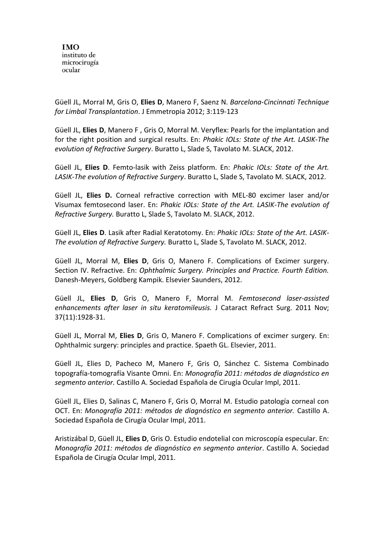Güell JL, Morral M, Gris O, **Elies D**, Manero F, Saenz N. *Barcelona-Cincinnati Technique for Limbal Transplantation*. J Emmetropia 2012; 3:119-123

Güell JL, **Elies D**, Manero F , Gris O, Morral M. Veryflex: Pearls for the implantation and for the right position and surgical results. En: *Phakic IOLs: State of the Art. LASIK-The evolution of Refractive Surgery*. Buratto L, Slade S, Tavolato M. SLACK, 2012.

Güell JL, **Elies D**. Femto-lasik with Zeiss platform. En: *Phakic IOLs: State of the Art. LASIK-The evolution of Refractive Surgery*. Buratto L, Slade S, Tavolato M. SLACK, 2012.

Güell JL, **Elies D.** Corneal refractive correction with MEL-80 excimer laser and/or Visumax femtosecond laser. En: *Phakic IOLs: State of the Art. LASIK-The evolution of Refractive Surgery.* Buratto L, Slade S, Tavolato M. SLACK, 2012.

Güell JL, **Elies D**. Lasik after Radial Keratotomy. En: *Phakic IOLs: State of the Art. LASIK-The evolution of Refractive Surgery.* Buratto L, Slade S, Tavolato M. SLACK, 2012.

Güell JL, Morral M, **Elies D**, Gris O, Manero F. Complications of Excimer surgery. Section IV. Refractive. En: *Ophthalmic Surgery. Principles and Practice. Fourth Edition.* Danesh-Meyers, Goldberg Kampik. Elsevier Saunders, 2012.

Güell JL, **Elies D**, Gris O, Manero F, Morral M. *Femtosecond laser-assisted enhancements after laser in situ keratomileusis.* J Cataract Refract Surg. 2011 Nov; 37(11):1928-31.

Güell JL, Morral M, **Elies D**, Gris O, Manero F. Complications of excimer surgery. En: Ophthalmic surgery: principles and practice. Spaeth GL. Elsevier, 2011.

Güell JL, Elies D, Pacheco M, Manero F, Gris O, Sánchez C. Sistema Combinado topografía-tomografía Visante Omni. En: *Monografía 2011: métodos de diagnóstico en segmento anterior.* Castillo A. Sociedad Española de Cirugía Ocular Impl, 2011.

Güell JL, Elies D, Salinas C, Manero F, Gris O, Morral M. Estudio patología corneal con OCT. En: *Monografía 2011: métodos de diagnóstico en segmento anterior.* Castillo A. Sociedad Española de Cirugía Ocular Impl, 2011.

Aristizábal D, Güell JL, **Elies D**, Gris O. Estudio endotelial con microscopía especular. En: *Monografía 2011: métodos de diagnóstico en segmento anterior*. Castillo A. Sociedad Española de Cirugía Ocular Impl, 2011.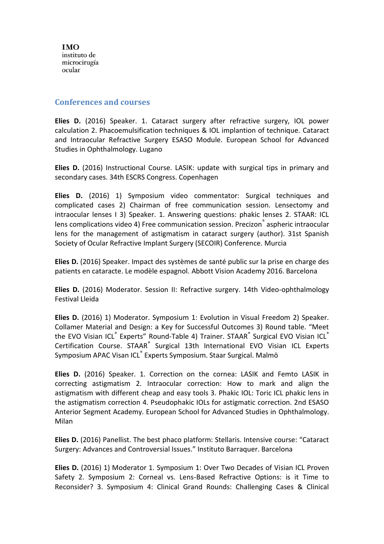#### **Conferences and courses**

**Elies D.** (2016) Speaker. 1. Cataract surgery after refractive surgery, IOL power calculation 2. Phacoemulsification techniques & IOL implantion of technique. Cataract and Intraocular Refractive Surgery ESASO Module. European School for Advanced Studies in Ophthalmology. Lugano

**Elies D.** (2016) Instructional Course. LASIK: update with surgical tips in primary and secondary cases. 34th ESCRS Congress. Copenhagen

**Elies D.** (2016) 1) Symposium video commentator: Surgical techniques and complicated cases 2) Chairman of free communication session. Lensectomy and intraocular lenses I 3) Speaker. 1. Answering questions: phakic lenses 2. STAAR: ICL lens complications video 4) Free communication session. Precizon<sup>®</sup> aspheric intraocular lens for the management of astigmatism in cataract surgery (author). 31st Spanish Society of Ocular Refractive Implant Surgery (SECOIR) Conference. Murcia

**Elies D.** (2016) Speaker. Impact des systèmes de santé public sur la prise en charge des patients en cataracte. Le modèle espagnol. Abbott Vision Academy 2016. Barcelona

**Elies D.** (2016) Moderator. Session II: Refractive surgery. 14th Video-ophthalmology Festival Lleida

**Elies D.** (2016) 1) Moderator. Symposium 1: Evolution in Visual Freedom 2) Speaker. Collamer Material and Design: a Key for Successful Outcomes 3) Round table. "Meet the EVO Visian ICL® Experts" Round-Table 4) Trainer. STAAR® Surgical EVO Visian ICL® Certification Course. STAAR<sup>®</sup> Surgical 13th International EVO Visian ICL Experts Symposium APAC Visan ICL<sup>®</sup> Experts Symposium. Staar Surgical. Malmö

**Elies D.** (2016) Speaker. 1. Correction on the cornea: LASIK and Femto LASIK in correcting astigmatism 2. Intraocular correction: How to mark and align the astigmatism with different cheap and easy tools 3. Phakic IOL: Toric ICL phakic lens in the astigmatism correction 4. Pseudophakic IOLs for astigmatic correction. 2nd ESASO Anterior Segment Academy. European School for Advanced Studies in Ophthalmology. Milan

**Elies D.** (2016) Panellist. The best phaco platform: Stellaris. Intensive course: "Cataract Surgery: Advances and Controversial Issues." Instituto Barraquer. Barcelona

**Elies D.** (2016) 1) Moderator 1. Symposium 1: Over Two Decades of Visian ICL Proven Safety 2. Symposium 2: Corneal vs. Lens-Based Refractive Options: is it Time to Reconsider? 3. Symposium 4: Clinical Grand Rounds: Challenging Cases & Clinical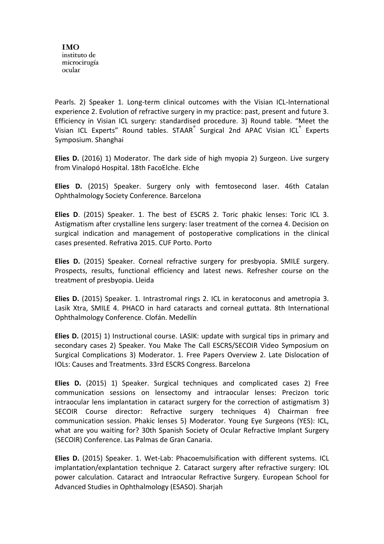Pearls. 2) Speaker 1. Long-term clinical outcomes with the Visian ICL-International experience 2. Evolution of refractive surgery in my practice: past, present and future 3. Efficiency in Visian ICL surgery: standardised procedure. 3) Round table. "Meet the Visian ICL Experts" Round tables. STAAR<sup>®</sup> Surgical 2nd APAC Visian ICL<sup>®</sup> Experts Symposium. Shanghai

**Elies D.** (2016) 1) Moderator. The dark side of high myopia 2) Surgeon. Live surgery from Vinalopó Hospital. 18th FacoElche. Elche

**Elies D.** (2015) Speaker. Surgery only with femtosecond laser. 46th Catalan Ophthalmology Society Conference. Barcelona

**Elies D**. (2015) Speaker. 1. The best of ESCRS 2. Toric phakic lenses: Toric ICL 3. Astigmatism after crystalline lens surgery: laser treatment of the cornea 4. Decision on surgical indication and management of postoperative complications in the clinical cases presented. Refrativa 2015. CUF Porto. Porto

**Elies D.** (2015) Speaker. Corneal refractive surgery for presbyopia. SMILE surgery. Prospects, results, functional efficiency and latest news. Refresher course on the treatment of presbyopia. Lleida

**Elies D.** (2015) Speaker. 1. Intrastromal rings 2. ICL in keratoconus and ametropia 3. Lasik Xtra, SMILE 4. PHACO in hard cataracts and corneal guttata. 8th International Ophthalmology Conference. Clofán. Medellín

**Elies D.** (2015) 1) Instructional course. LASIK: update with surgical tips in primary and secondary cases 2) Speaker. You Make The Call ESCRS/SECOIR Video Symposium on Surgical Complications 3) Moderator. 1. Free Papers Overview 2. Late Dislocation of IOLs: Causes and Treatments. 33rd ESCRS Congress. Barcelona

**Elies D.** (2015) 1) Speaker. Surgical techniques and complicated cases 2) Free communication sessions on lensectomy and intraocular lenses: Precizon toric intraocular lens implantation in cataract surgery for the correction of astigmatism 3) SECOIR Course director: Refractive surgery techniques 4) Chairman free communication session. Phakic lenses 5) Moderator. Young Eye Surgeons (YES): ICL, what are you waiting for? 30th Spanish Society of Ocular Refractive Implant Surgery (SECOIR) Conference. Las Palmas de Gran Canaria.

**Elies D.** (2015) Speaker. 1. Wet-Lab: Phacoemulsification with different systems. ICL implantation/explantation technique 2. Cataract surgery after refractive surgery: IOL power calculation. Cataract and Intraocular Refractive Surgery. European School for Advanced Studies in Ophthalmology (ESASO). Sharjah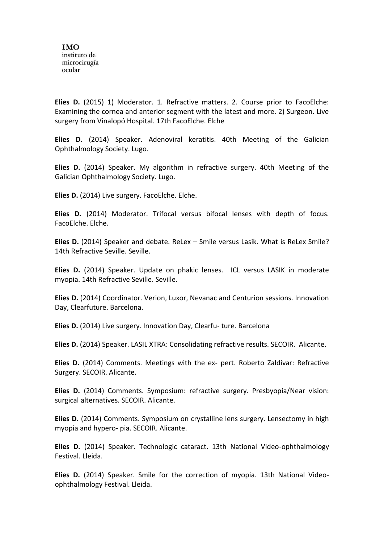**Elies D.** (2015) 1) Moderator. 1. Refractive matters. 2. Course prior to FacoElche: Examining the cornea and anterior segment with the latest and more. 2) Surgeon. Live surgery from Vinalopó Hospital. 17th FacoElche. Elche

**Elies D.** (2014) Speaker. Adenoviral keratitis. 40th Meeting of the Galician Ophthalmology Society. Lugo.

**Elies D.** (2014) Speaker. My algorithm in refractive surgery. 40th Meeting of the Galician Ophthalmology Society. Lugo.

**Elies D.** (2014) Live surgery. FacoElche. Elche.

**Elies D.** (2014) Moderator. Trifocal versus bifocal lenses with depth of focus. FacoElche. Elche.

**Elies D.** (2014) Speaker and debate. ReLex – Smile versus Lasik. What is ReLex Smile? 14th Refractive Seville. Seville.

**Elies D.** (2014) Speaker. Update on phakic lenses. ICL versus LASIK in moderate myopia. 14th Refractive Seville. Seville.

**Elies D.** (2014) Coordinator. Verion, Luxor, Nevanac and Centurion sessions. Innovation Day, Clearfuture. Barcelona.

**Elies D.** (2014) Live surgery. Innovation Day, Clearfu- ture. Barcelona

**Elies D.** (2014) Speaker. LASIL XTRA: Consolidating refractive results. SECOIR. Alicante.

**Elies D.** (2014) Comments. Meetings with the ex- pert. Roberto Zaldivar: Refractive Surgery. SECOIR. Alicante.

**Elies D.** (2014) Comments. Symposium: refractive surgery. Presbyopia/Near vision: surgical alternatives. SECOIR. Alicante.

**Elies D.** (2014) Comments. Symposium on crystalline lens surgery. Lensectomy in high myopia and hypero- pia. SECOIR. Alicante.

**Elies D.** (2014) Speaker. Technologic cataract. 13th National Video-ophthalmology Festival. Lleida.

**Elies D.** (2014) Speaker. Smile for the correction of myopia. 13th National Videoophthalmology Festival. Lleida.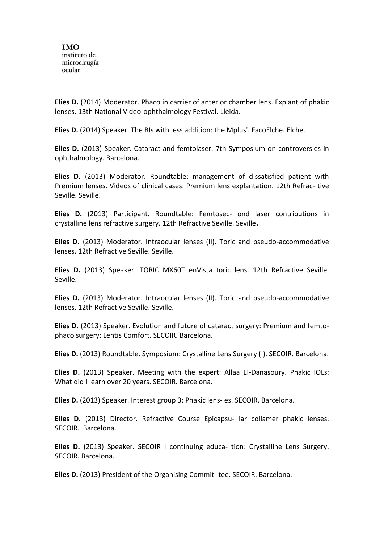**Elies D.** (2014) Moderator. Phaco in carrier of anterior chamber lens. Explant of phakic lenses. 13th National Video-ophthalmology Festival. Lleida.

**Elies D.** (2014) Speaker. The BIs with less addition: the Mplus'. FacoElche. Elche.

**Elies D.** (2013) Speaker. Cataract and femtolaser. 7th Symposium on controversies in ophthalmology. Barcelona.

**Elies D.** (2013) Moderator. Roundtable: management of dissatisfied patient with Premium lenses. Videos of clinical cases: Premium lens explantation. 12th Refrac- tive Seville. Seville.

**Elies D.** (2013) Participant. Roundtable: Femtosec- ond laser contributions in crystalline lens refractive surgery. 12th Refractive Seville. Seville**.**

**Elies D.** (2013) Moderator. Intraocular lenses (II). Toric and pseudo-accommodative lenses. 12th Refractive Seville. Seville.

**Elies D.** (2013) Speaker. TORIC MX60T enVista toric lens. 12th Refractive Seville. Seville.

**Elies D.** (2013) Moderator. Intraocular lenses (II). Toric and pseudo-accommodative lenses. 12th Refractive Seville. Seville.

**Elies D.** (2013) Speaker. Evolution and future of cataract surgery: Premium and femtophaco surgery: Lentis Comfort. SECOIR. Barcelona.

**Elies D.** (2013) Roundtable. Symposium: Crystalline Lens Surgery (I). SECOIR. Barcelona.

**Elies D.** (2013) Speaker. Meeting with the expert: Allaa El-Danasoury. Phakic IOLs: What did I learn over 20 years. SECOIR. Barcelona.

**Elies D.** (2013) Speaker. Interest group 3: Phakic lens- es. SECOIR. Barcelona.

**Elies D.** (2013) Director. Refractive Course Epicapsu- lar collamer phakic lenses. SECOIR. Barcelona.

**Elies D.** (2013) Speaker. SECOIR I continuing educa- tion: Crystalline Lens Surgery. SECOIR. Barcelona.

**Elies D.** (2013) President of the Organising Commit- tee. SECOIR. Barcelona.